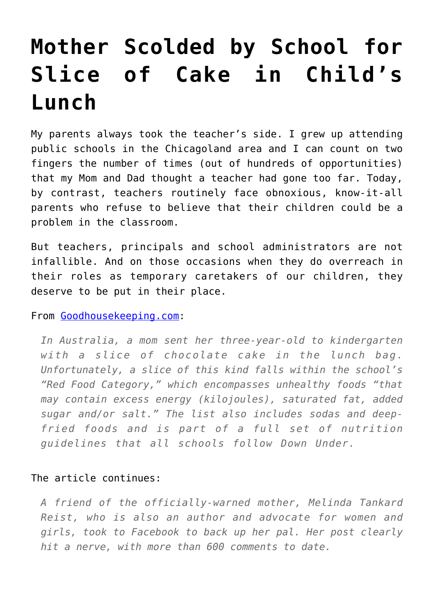## **[Mother Scolded by School for](https://intellectualtakeout.org/2017/03/mother-scolded-by-school-for-slice-of-cake-in-childs-lunch/) [Slice of Cake in Child's](https://intellectualtakeout.org/2017/03/mother-scolded-by-school-for-slice-of-cake-in-childs-lunch/) [Lunch](https://intellectualtakeout.org/2017/03/mother-scolded-by-school-for-slice-of-cake-in-childs-lunch/)**

My parents always took the teacher's side. I grew up attending public schools in the Chicagoland area and I can count on two fingers the number of times (out of hundreds of opportunities) that my Mom and Dad thought a teacher had gone too far. Today, by contrast, teachers routinely face obnoxious, know-it-all parents who refuse to believe that their children could be a problem in the classroom.

But teachers, principals and school administrators are not infallible. And on those occasions when they do overreach in their roles as temporary caretakers of our children, they deserve to be put in their place.

From [Goodhousekeeping.com:](http://www.goodhousekeeping.com/life/parenting/news/a42730/mother-shamed-over-chocolate-cake/)

*In Australia, a mom sent her three-year-old to kindergarten with a slice of chocolate cake in the lunch bag. Unfortunately, a slice of this kind falls within the school's "Red Food Category," which encompasses unhealthy foods "that may contain excess energy (kilojoules), saturated fat, added sugar and/or salt." The list also includes sodas and deepfried foods and is part of a full set of nutrition guidelines that all schools follow Down Under.*

## The article continues:

*A friend of the officially-warned mother, Melinda Tankard Reist, who is also an author and advocate for women and girls, took to Facebook to back up her pal. Her post clearly hit a nerve, with more than 600 comments to date.*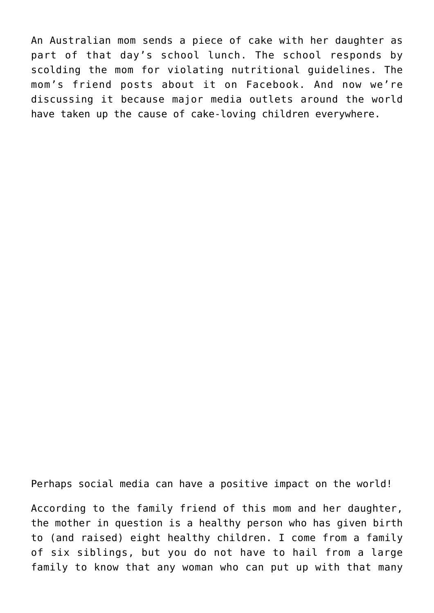An Australian mom sends a piece of cake with her daughter as part of that day's school lunch. The school responds by scolding the mom for violating nutritional guidelines. The mom's friend posts about it on Facebook. And now we're discussing it because major media outlets around the world have taken up the cause of cake-loving children everywhere.

Perhaps social media can have a positive impact on the world!

According to the family friend of this mom and her daughter, the mother in question is a healthy person who has given birth to (and raised) eight healthy children. I come from a family of six siblings, but you do not have to hail from a large family to know that any woman who can put up with that many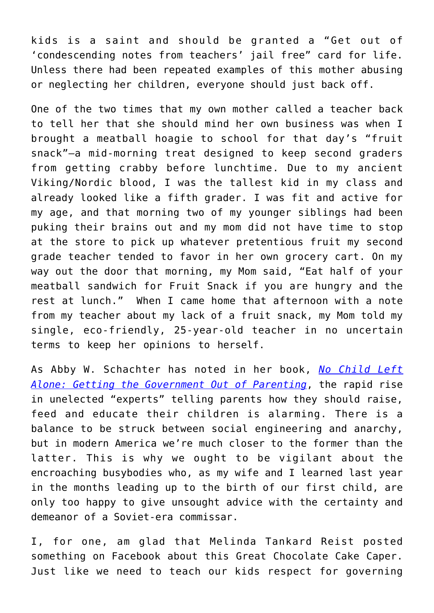kids is a saint and should be granted a "Get out of 'condescending notes from teachers' jail free" card for life. Unless there had been repeated examples of this mother abusing or neglecting her children, everyone should just back off.

One of the two times that my own mother called a teacher back to tell her that she should mind her own business was when I brought a meatball hoagie to school for that day's "fruit snack"—a mid-morning treat designed to keep second graders from getting crabby before lunchtime. Due to my ancient Viking/Nordic blood, I was the tallest kid in my class and already looked like a fifth grader. I was fit and active for my age, and that morning two of my younger siblings had been puking their brains out and my mom did not have time to stop at the store to pick up whatever pretentious fruit my second grade teacher tended to favor in her own grocery cart. On my way out the door that morning, my Mom said, "Eat half of your meatball sandwich for Fruit Snack if you are hungry and the rest at lunch." When I came home that afternoon with a note from my teacher about my lack of a fruit snack, my Mom told my single, eco-friendly, 25-year-old teacher in no uncertain terms to keep her opinions to herself.

As Abby W. Schachter has noted in her book, *[No Child Left](https://www.amazon.com/Child-Left-Alone-Government-Parenting/dp/1594038619) [Alone: Getting the Government Out of Parenting](https://www.amazon.com/Child-Left-Alone-Government-Parenting/dp/1594038619)*, the rapid rise in unelected "experts" telling parents how they should raise, feed and educate their children is alarming. There is a balance to be struck between social engineering and anarchy, but in modern America we're much closer to the former than the latter. This is why we ought to be vigilant about the encroaching busybodies who, as my wife and I learned last year in the months leading up to the birth of our first child, are only too happy to give unsought advice with the certainty and demeanor of a Soviet-era commissar.

I, for one, am glad that Melinda Tankard Reist posted something on Facebook about this Great Chocolate Cake Caper. Just like we need to teach our kids respect for governing